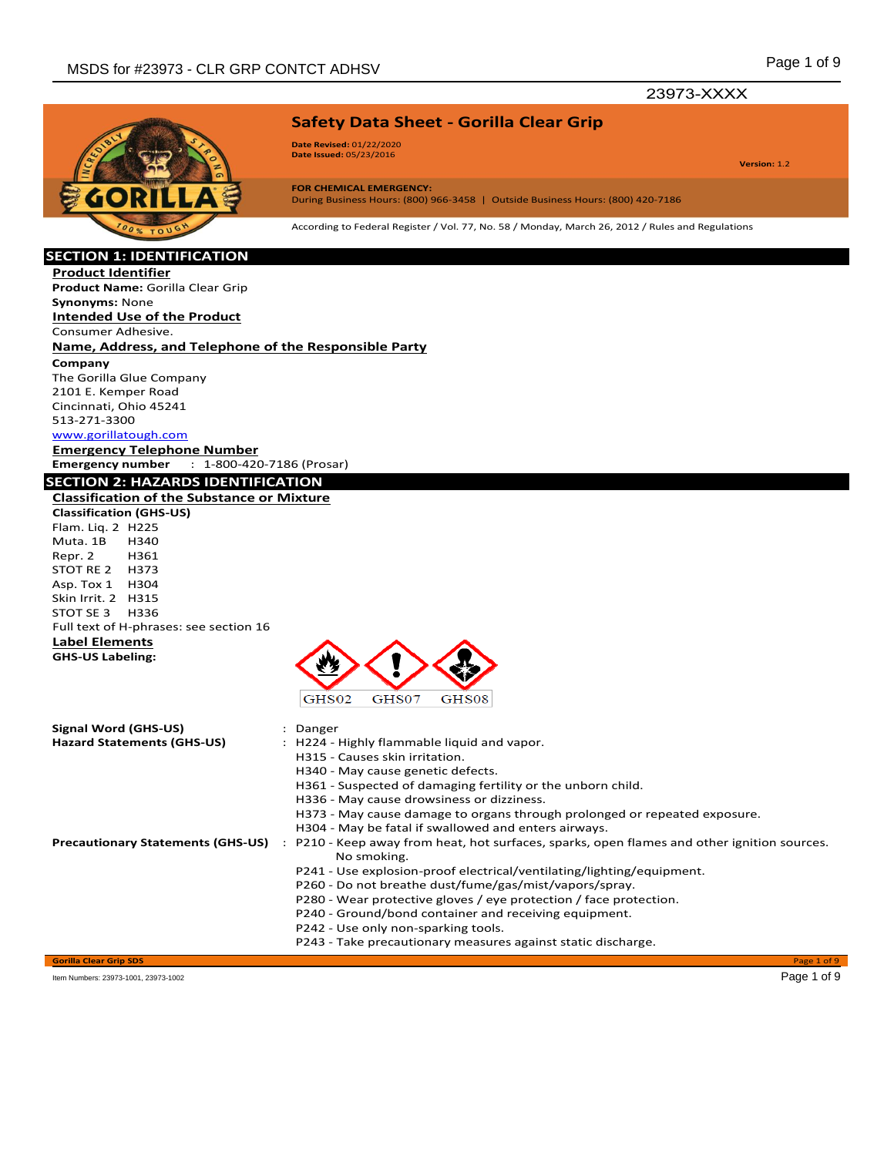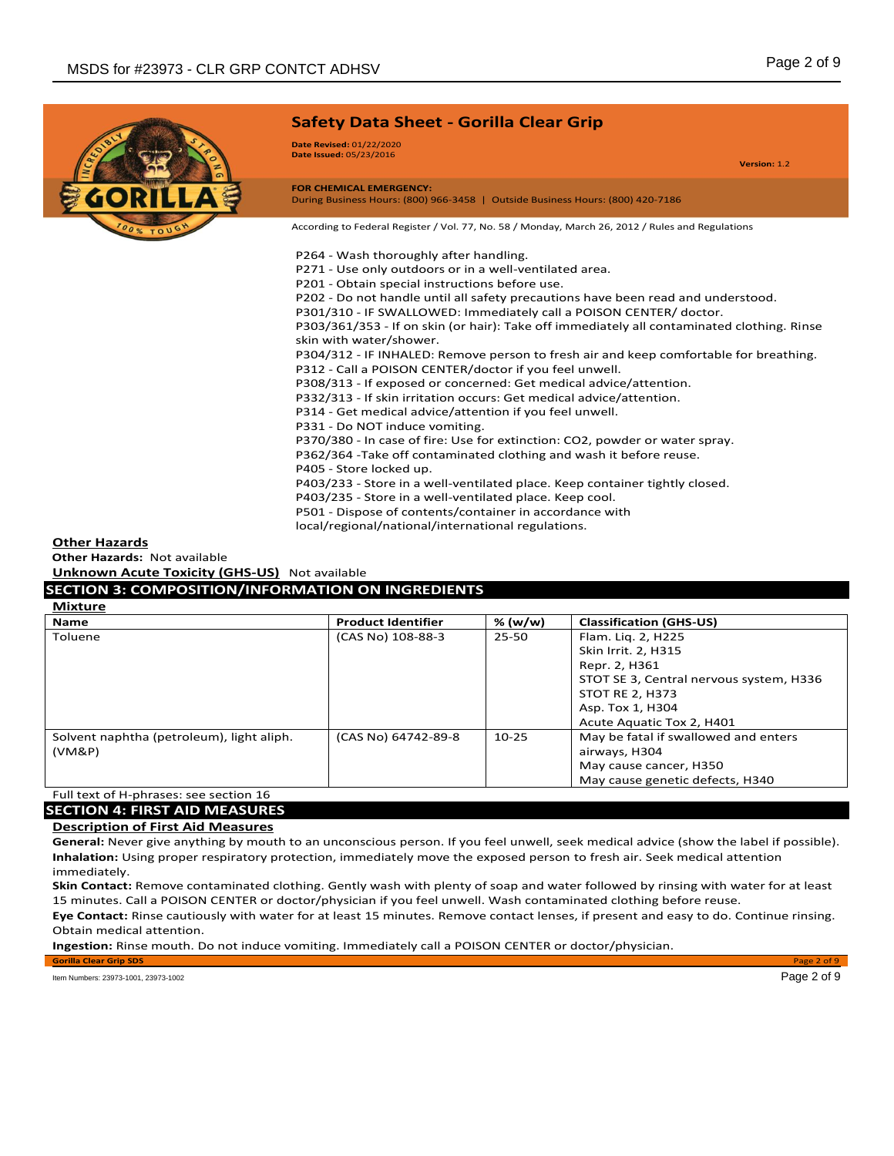

#### **Other Hazards**

**Other Hazards:** Not available **Unknown Acute Toxicity (GHS-US)** Not available

# **SECTION 3: COMPOSITION/INFORMATION ON INGREDIENTS**

| Mixture |  |
|---------|--|
|---------|--|

| <b>Name</b>                               | <b>Product Identifier</b> | % (w/w) | <b>Classification (GHS-US)</b>          |
|-------------------------------------------|---------------------------|---------|-----------------------------------------|
| Toluene                                   | (CAS No) 108-88-3         | 25-50   | Flam. Lig. 2, H225                      |
|                                           |                           |         | Skin Irrit. 2, H315                     |
|                                           |                           |         | Repr. 2, H361                           |
|                                           |                           |         | STOT SE 3, Central nervous system, H336 |
|                                           |                           |         | <b>STOT RE 2, H373</b>                  |
|                                           |                           |         | Asp. Tox 1, H304                        |
|                                           |                           |         | Acute Aguatic Tox 2, H401               |
| Solvent naphtha (petroleum), light aliph. | (CAS No) 64742-89-8       | $10-25$ | May be fatal if swallowed and enters    |
| (VM&P)                                    |                           |         | airways, H304                           |
|                                           |                           |         | May cause cancer, H350                  |
|                                           |                           |         | May cause genetic defects, H340         |

#### Full text of H-phrases: see section 16 **SECTION 4: FIRST AID MEASURES**

# **Description of First Aid Measures**

**General:** Never give anything by mouth to an unconscious person. If you feel unwell, seek medical advice (show the label if possible). **Inhalation:** Using proper respiratory protection, immediately move the exposed person to fresh air. Seek medical attention immediately.

**Skin Contact:** Remove contaminated clothing. Gently wash with plenty of soap and water followed by rinsing with water for at least 15 minutes. Call a POISON CENTER or doctor/physician if you feel unwell. Wash contaminated clothing before reuse.

**Eye Contact:** Rinse cautiously with water for at least 15 minutes. Remove contact lenses, if present and easy to do. Continue rinsing. Obtain medical attention.

**Gorilla Clear Grip SDS** Page 2 of 9

**Ingestion:** Rinse mouth. Do not induce vomiting. Immediately call a POISON CENTER or doctor/physician.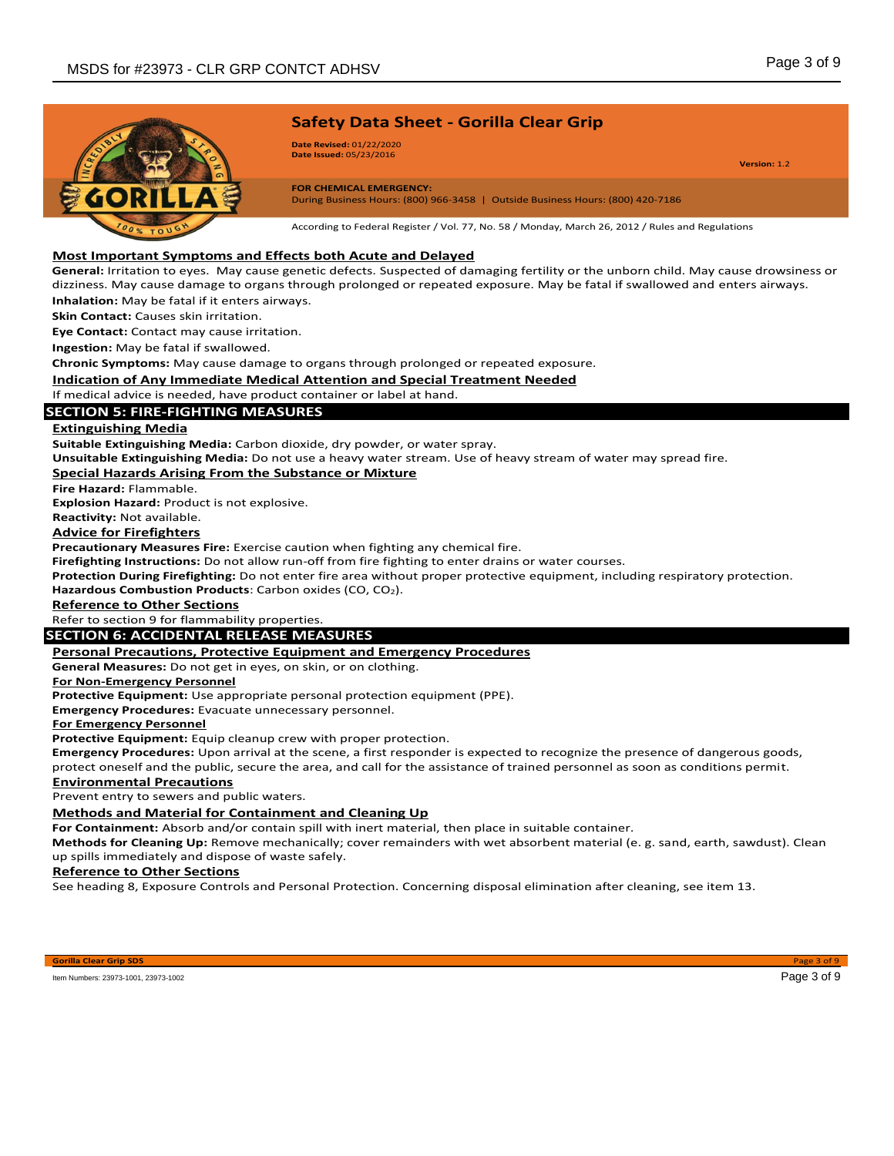

**Date Revised:** 01/22/2020 **Date Issued:** 05/23/2016

**Version:** 1.2

**FOR CHEMICAL EMERGENCY:** During Business Hours: (800) 966-3458 | Outside Business Hours: (800) 420-7186

According to Federal Register / Vol. 77, No. 58 / Monday, March 26, 2012 / Rules and Regulations

## **Most Important Symptoms and Effects both Acute and Delayed**

**General:** Irritation to eyes. May cause genetic defects. Suspected of damaging fertility or the unborn child. May cause drowsiness or dizziness. May cause damage to organs through prolonged or repeated exposure. May be fatal if swallowed and enters airways. **Inhalation:** May be fatal if it enters airways.

**Skin Contact:** Causes skin irritation.

**Eye Contact:** Contact may cause irritation.

**Ingestion:** May be fatal if swallowed.

**Chronic Symptoms:** May cause damage to organs through prolonged or repeated exposure.

**Indication of Any Immediate Medical Attention and Special Treatment Needed**

If medical advice is needed, have product container or label at hand.

## **SECTION 5: FIRE-FIGHTING MEASURES**

#### **Extinguishing Media**

**Suitable Extinguishing Media:** Carbon dioxide, dry powder, or water spray.

**Unsuitable Extinguishing Media:** Do not use a heavy water stream. Use of heavy stream of water may spread fire.

## **Special Hazards Arising From the Substance or Mixture**

**Fire Hazard:** Flammable.

**Explosion Hazard:** Product is not explosive.

**Reactivity:** Not available.

#### **Advice for Firefighters**

**Precautionary Measures Fire:** Exercise caution when fighting any chemical fire.

**Firefighting Instructions:** Do not allow run-off from fire fighting to enter drains or water courses.

**Protection During Firefighting:** Do not enter fire area without proper protective equipment, including respiratory protection. **Hazardous Combustion Products**: Carbon oxides (CO, CO2).

**Reference to Other Sections**

Refer to section 9 for flammability properties.

## **SECTION 6: ACCIDENTAL RELEASE MEASURES**

## **Personal Precautions, Protective Equipment and Emergency Procedures**

**General Measures:** Do not get in eyes, on skin, or on clothing.

**For Non-Emergency Personnel**

**Protective Equipment:** Use appropriate personal protection equipment (PPE).

**Emergency Procedures:** Evacuate unnecessary personnel.

#### **For Emergency Personnel**

**Protective Equipment:** Equip cleanup crew with proper protection.

**Emergency Procedures:** Upon arrival at the scene, a first responder is expected to recognize the presence of dangerous goods, protect oneself and the public, secure the area, and call for the assistance of trained personnel as soon as conditions permit.

#### **Environmental Precautions**

Prevent entry to sewers and public waters.

## **Methods and Material for Containment and Cleaning Up**

**For Containment:** Absorb and/or contain spill with inert material, then place in suitable container.

**Methods for Cleaning Up:** Remove mechanically; cover remainders with wet absorbent material (e. g. sand, earth, sawdust). Clean up spills immediately and dispose of waste safely.

## **Reference to Other Sections**

See heading 8, Exposure Controls and Personal Protection. Concerning disposal elimination after cleaning, see item 13.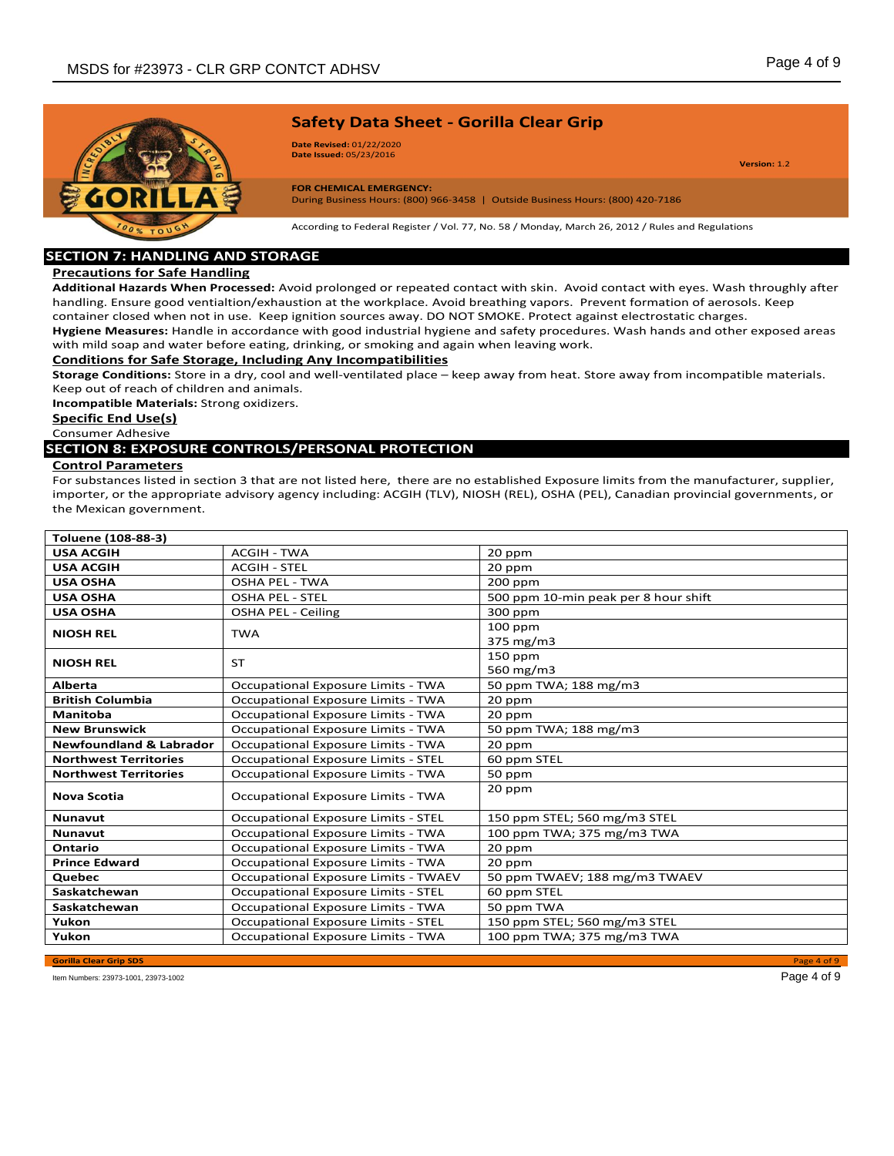

**Date Revised:** 01/22/2020 **Date Issued:** 05/23/2016

**Version:** 1.2

**FOR CHEMICAL EMERGENCY:** During Business Hours: (800) 966-3458 | Outside Business Hours: (800) 420-7186

According to Federal Register / Vol. 77, No. 58 / Monday, March 26, 2012 / Rules and Regulations

# **SECTION 7: HANDLING AND STORAGE**

# **Precautions for Safe Handling**

**Additional Hazards When Processed:** Avoid prolonged or repeated contact with skin. Avoid contact with eyes. Wash throughly after handling. Ensure good ventialtion/exhaustion at the workplace. Avoid breathing vapors. Prevent formation of aerosols. Keep container closed when not in use. Keep ignition sources away. DO NOT SMOKE. Protect against electrostatic charges.

**Hygiene Measures:** Handle in accordance with good industrial hygiene and safety procedures. Wash hands and other exposed areas with mild soap and water before eating, drinking, or smoking and again when leaving work.

## **Conditions for Safe Storage, Including Any Incompatibilities**

**Storage Conditions:** Store in a dry, cool and well-ventilated place – keep away from heat. Store away from incompatible materials. Keep out of reach of children and animals.

**Incompatible Materials:** Strong oxidizers.

# **Specific End Use(s)**

#### Consumer Adhesive **SECTION 8: EXPOSURE CONTROLS/PERSONAL PROTECTION**

## **Control Parameters**

For substances listed in section 3 that are not listed here, there are no established Exposure limits from the manufacturer, supplier, importer, or the appropriate advisory agency including: ACGIH (TLV), NIOSH (REL), OSHA (PEL), Canadian provincial governments, or the Mexican government.

| Toluene (108-88-3)                 |                                             |                                      |
|------------------------------------|---------------------------------------------|--------------------------------------|
| <b>USA ACGIH</b>                   | <b>ACGIH - TWA</b>                          | 20 ppm                               |
| <b>USA ACGIH</b>                   | <b>ACGIH - STEL</b>                         | 20 ppm                               |
| <b>USA OSHA</b>                    | <b>OSHA PEL - TWA</b>                       | $200$ ppm                            |
| <b>USA OSHA</b>                    | <b>OSHA PEL - STEL</b>                      | 500 ppm 10-min peak per 8 hour shift |
| <b>USA OSHA</b>                    | OSHA PEL - Ceiling                          | 300 ppm                              |
| <b>NIOSH REL</b>                   | <b>TWA</b>                                  | $100$ ppm<br>375 mg/m3               |
| <b>NIOSH REL</b>                   | <b>ST</b>                                   | 150 ppm<br>560 mg/m3                 |
| <b>Alberta</b>                     | Occupational Exposure Limits - TWA          | 50 ppm TWA; 188 mg/m3                |
| <b>British Columbia</b>            | Occupational Exposure Limits - TWA          | 20 ppm                               |
| Manitoba                           | Occupational Exposure Limits - TWA          | 20 ppm                               |
| <b>New Brunswick</b>               | Occupational Exposure Limits - TWA          | 50 ppm TWA; 188 mg/m3                |
| <b>Newfoundland &amp; Labrador</b> | Occupational Exposure Limits - TWA          | 20 ppm                               |
| <b>Northwest Territories</b>       | <b>Occupational Exposure Limits - STEL</b>  | 60 ppm STEL                          |
| <b>Northwest Territories</b>       | Occupational Exposure Limits - TWA          | 50 ppm                               |
| <b>Nova Scotia</b>                 | Occupational Exposure Limits - TWA          | 20 ppm                               |
| <b>Nunavut</b>                     | <b>Occupational Exposure Limits - STEL</b>  | 150 ppm STEL; 560 mg/m3 STEL         |
| <b>Nunavut</b>                     | Occupational Exposure Limits - TWA          | 100 ppm TWA; 375 mg/m3 TWA           |
| Ontario                            | Occupational Exposure Limits - TWA          | 20 ppm                               |
| <b>Prince Edward</b>               | Occupational Exposure Limits - TWA          | 20 ppm                               |
| <b>Quebec</b>                      | <b>Occupational Exposure Limits - TWAEV</b> | 50 ppm TWAEV; 188 mg/m3 TWAEV        |
| Saskatchewan                       | <b>Occupational Exposure Limits - STEL</b>  | 60 ppm STEL                          |
| Saskatchewan                       | Occupational Exposure Limits - TWA          | 50 ppm TWA                           |
| Yukon                              | <b>Occupational Exposure Limits - STEL</b>  | 150 ppm STEL; 560 mg/m3 STEL         |
| Yukon                              | Occupational Exposure Limits - TWA          | 100 ppm TWA; 375 mg/m3 TWA           |

**Gorilla Clear Grip SDS** Page 4 of 9

Item Numbers: 23973-1001, 23973-1002 Page 4 of 9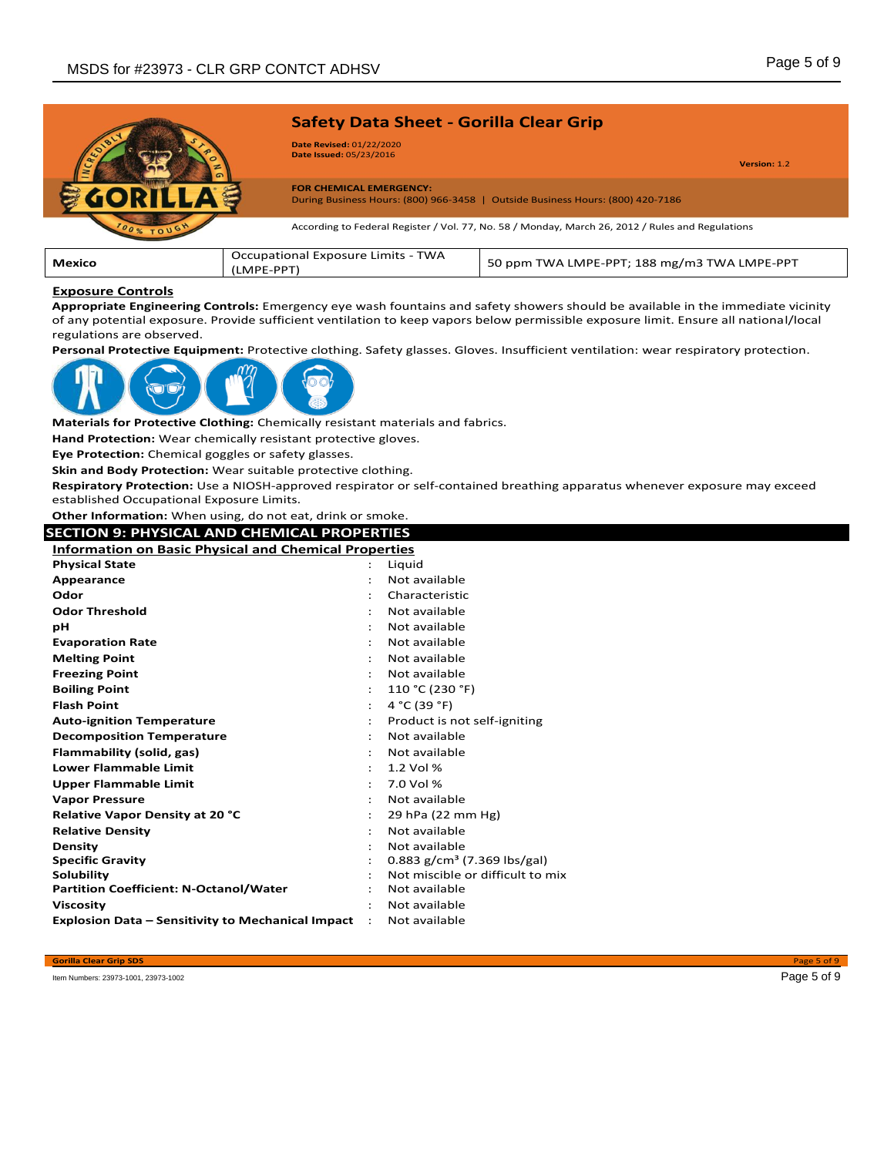

| .                                                                                                                               |  |
|---------------------------------------------------------------------------------------------------------------------------------|--|
|                                                                                                                                 |  |
| <b>Exposure Controls</b>                                                                                                        |  |
| Appropriate Engineering Controls: Emergency eye wash fountains and safety showers should be available in the immediate vicinity |  |

of any potential exposure. Provide sufficient ventilation to keep vapors below permissible exposure limit. Ensure all national/local regulations are observed.

**Personal Protective Equipment:** Protective clothing. Safety glasses. Gloves. Insufficient ventilation: wear respiratory protection.



**Materials for Protective Clothing:** Chemically resistant materials and fabrics.

**Hand Protection:** Wear chemically resistant protective gloves.

**Eye Protection:** Chemical goggles or safety glasses.

**Skin and Body Protection:** Wear suitable protective clothing.

**Respiratory Protection:** Use a NIOSH-approved respirator or self-contained breathing apparatus whenever exposure may exceed established Occupational Exposure Limits.

**Other Information:** When using, do not eat, drink or smoke.

## **SECTION 9: PHYSICAL AND CHEMICAL PROPERTIES**

| <b>Information on Basic Physical and Chemical Properties</b> |                      |                                         |
|--------------------------------------------------------------|----------------------|-----------------------------------------|
| <b>Physical State</b>                                        |                      | Liguid                                  |
| Appearance                                                   | $\ddot{\phantom{a}}$ | Not available                           |
| Odor                                                         |                      | Characteristic                          |
| <b>Odor Threshold</b>                                        |                      | Not available                           |
| рH                                                           |                      | Not available                           |
| <b>Evaporation Rate</b>                                      |                      | Not available                           |
| <b>Melting Point</b>                                         |                      | Not available                           |
| <b>Freezing Point</b>                                        |                      | Not available                           |
| <b>Boiling Point</b>                                         |                      | 110 °C (230 °F)                         |
| <b>Flash Point</b>                                           |                      | 4 °C (39 °F)                            |
| <b>Auto-ignition Temperature</b>                             |                      | Product is not self-igniting            |
| <b>Decomposition Temperature</b>                             |                      | Not available                           |
| Flammability (solid, gas)                                    |                      | Not available                           |
| <b>Lower Flammable Limit</b>                                 |                      | 1.2 Vol %                               |
| <b>Upper Flammable Limit</b>                                 | ÷                    | 7.0 Vol %                               |
| <b>Vapor Pressure</b>                                        | $\ddot{\phantom{0}}$ | Not available                           |
| <b>Relative Vapor Density at 20 °C</b>                       | $\ddot{\phantom{a}}$ | 29 hPa (22 mm Hg)                       |
| <b>Relative Density</b>                                      |                      | Not available                           |
| <b>Density</b>                                               | $\ddot{\phantom{a}}$ | Not available                           |
| <b>Specific Gravity</b>                                      | $\ddot{\phantom{0}}$ | 0.883 g/cm <sup>3</sup> (7.369 lbs/gal) |
| Solubility                                                   |                      | Not miscible or difficult to mix        |
| <b>Partition Coefficient: N-Octanol/Water</b>                |                      | Not available                           |
| <b>Viscosity</b>                                             |                      | Not available                           |
| <b>Explosion Data - Sensitivity to Mechanical Impact</b>     |                      | Not available                           |

Item Numbers: 23973-1001, 23973-1002 Page 5 of 9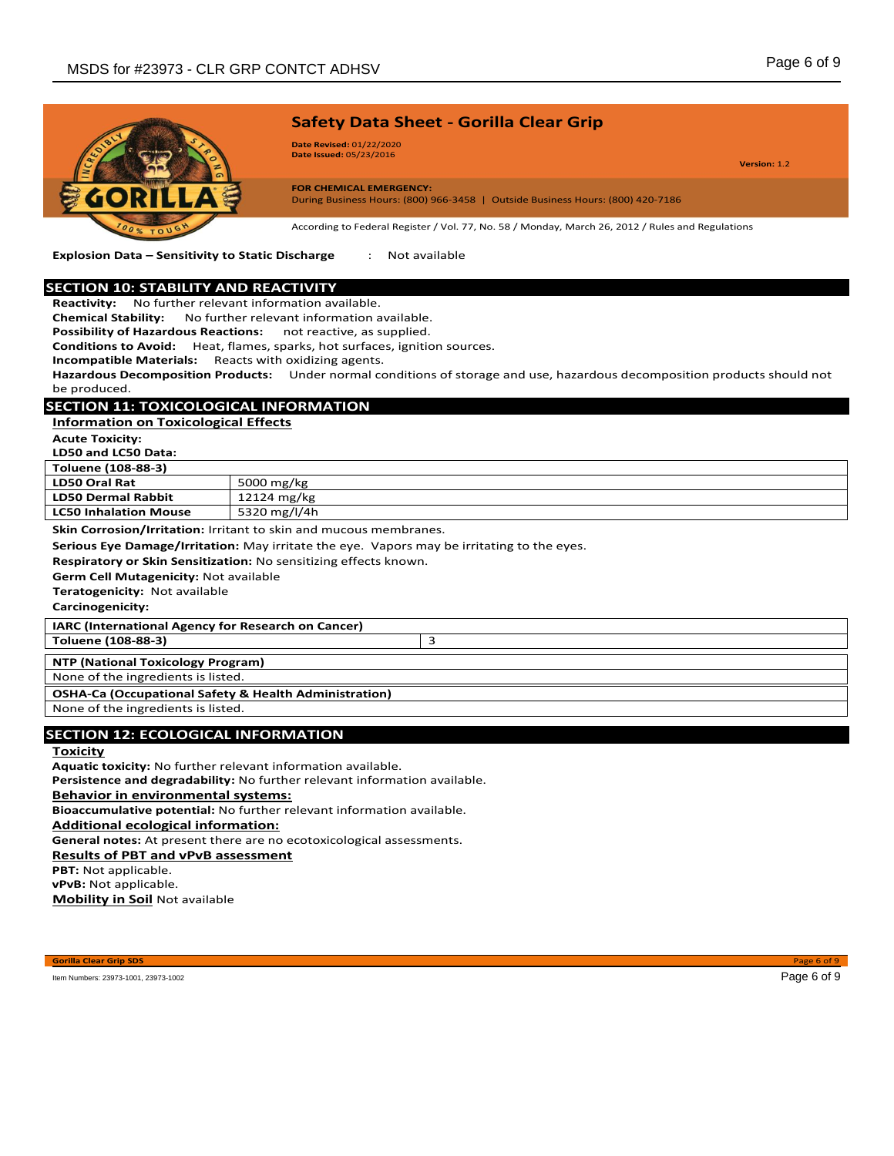

**Explosion Data – Sensitivity to Static Discharge** : Not available

## **SECTION 10: STABILITY AND REACTIVITY**

**Reactivity:** No further relevant information available.

**Chemical Stability:** No further relevant information available.

**Possibility of Hazardous Reactions:** not reactive, as supplied.

**Conditions to Avoid:** Heat, flames, sparks, hot surfaces, ignition sources.

**Incompatible Materials:** Reacts with oxidizing agents.

**Hazardous Decomposition Products:** Under normal conditions of storage and use, hazardous decomposition products should not

be produced.

# **SECTION 11: TOXICOLOGICAL INFORMATION**

**Information on Toxicological Effects** 

**Acute Toxicity:** 

**LD50 and LC50 Data:**

| -------------------          |              |
|------------------------------|--------------|
| Toluene (108-88-3)           |              |
| <b>LD50 Oral Rat</b>         | 5000 mg/kg   |
| LD50 Dermal Rabbit           | 12124 mg/kg  |
| <b>LC50 Inhalation Mouse</b> | 5320 mg/l/4h |

**Skin Corrosion/Irritation:** Irritant to skin and mucous membranes.

**Serious Eye Damage/Irritation:** May irritate the eye. Vapors may be irritating to the eyes.

**Respiratory or Skin Sensitization:** No sensitizing effects known.

**Germ Cell Mutagenicity:** Not available

**Teratogenicity:** Not available

**Carcinogenicity:**

**IARC (International Agency for Research on Cancer)**

**Toluene (108-88-3)** 3

**NTP (National Toxicology Program)**

None of the ingredients is listed.

#### **OSHA-Ca (Occupational Safety & Health Administration)**

None of the ingredients is listed.

## **SECTION 12: ECOLOGICAL INFORMATION**

**Toxicity**

**Aquatic toxicity:** No further relevant information available.

**Persistence and degradability:** No further relevant information available.

**Behavior in environmental systems:**

**Bioaccumulative potential:** No further relevant information available.

**Additional ecological information:**

**General notes:** At present there are no ecotoxicological assessments.

**Results of PBT and vPvB assessment**

**PBT:** Not applicable.

**vPvB:** Not applicable.

**Mobility in Soil** Not available

**Gorilla Clear Grip SDS** Page 6 of 9

Item Numbers: 23973-1001, 23973-1002 Page 6 of 9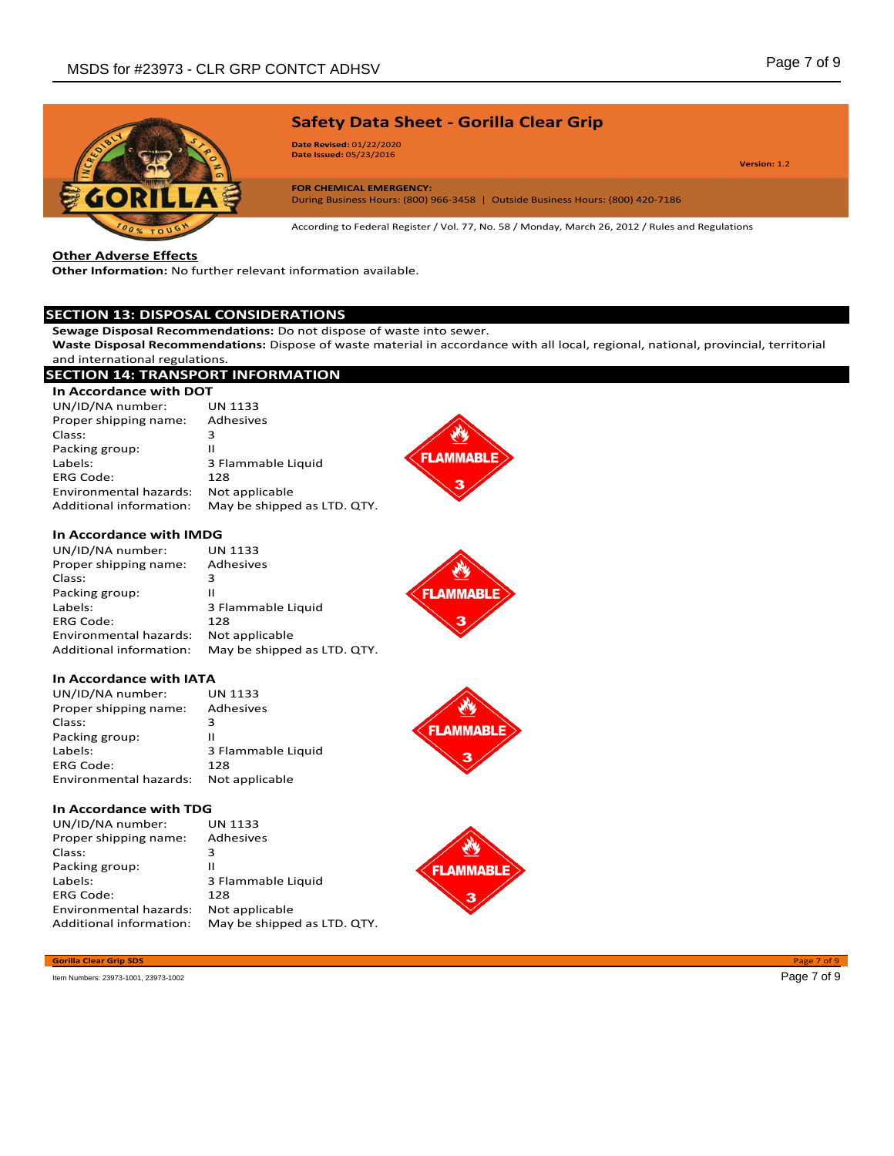

**Date Revised:** 01/22/2020 **Date Issued:** 05/23/2016

**Version:** 1.2

**FOR CHEMICAL EMERGENCY:** During Business Hours: (800) 966-3458 | Outside Business Hours: (800) 420-7186

According to Federal Register / Vol. 77, No. 58 / Monday, March 26, 2012 / Rules and Regulations

**Other Adverse Effects**

**Other Information:** No further relevant information available.

## **SECTION 13: DISPOSAL CONSIDERATIONS**

**Sewage Disposal Recommendations:** Do not dispose of waste into sewer.

**Waste Disposal Recommendations:** Dispose of waste material in accordance with all local, regional, national, provincial, territorial and international regulations.

**FLAMMABLE** 

**FLAMMABLE** 

#### **SECTION 14: TRANSPORT INFORMATION In Accordance with DOT** UN/ID/NA number: UN 1133 Proper shipping name: Adhesives Class: 3 Packing group: II **FLAMMABLE** Labels: 3 Flammable Liquid ERG Code: 128 Environmental hazards: Not applicable Additional information: May be shipped as LTD. QTY. **In Accordance with IMDG** UN/ID/NA number: UN 1133<br>Proper shipping name: Adhesives Proper shipping name: Adhesive Class: 3 Class: 3<br>Packing group: 11 Packing group: **LAMMABLE** Labels: 3 Flammable Liquid ERG Code: 128 Environmental hazards: Not applicable Additional information: May be shipped as LTD. QTY. **In Accordance with IATA**<br>UN/ID/NA number: UN 1133  $UN/ID/NA$  number:

| UN/ID/NATIONIDEL.      | ככדד גוח           |
|------------------------|--------------------|
| Proper shipping name:  | Adhesives          |
| Class:                 | 3                  |
| Packing group:         | н                  |
| Labels:                | 3 Flammable Liquid |
| <b>ERG Code:</b>       | 128                |
| Environmental hazards: | Not applicable     |
|                        |                    |

## **In Accordance with TDG**

| UN/ID/NA number:        | <b>UN 1133</b>              |
|-------------------------|-----------------------------|
|                         |                             |
| Proper shipping name:   | Adhesives                   |
| Class:                  | 3                           |
| Packing group:          | н                           |
| Labels:                 | 3 Flammable Liquid          |
| <b>ERG Code:</b>        | 128                         |
| Environmental hazards:  | Not applicable              |
| Additional information: | May be shipped as LTD. QTY. |

## **Gorilla Clear Grip SDS** Page 7 of 9

Item Numbers: 23973-1001, 23973-1002 Page 7 of 9

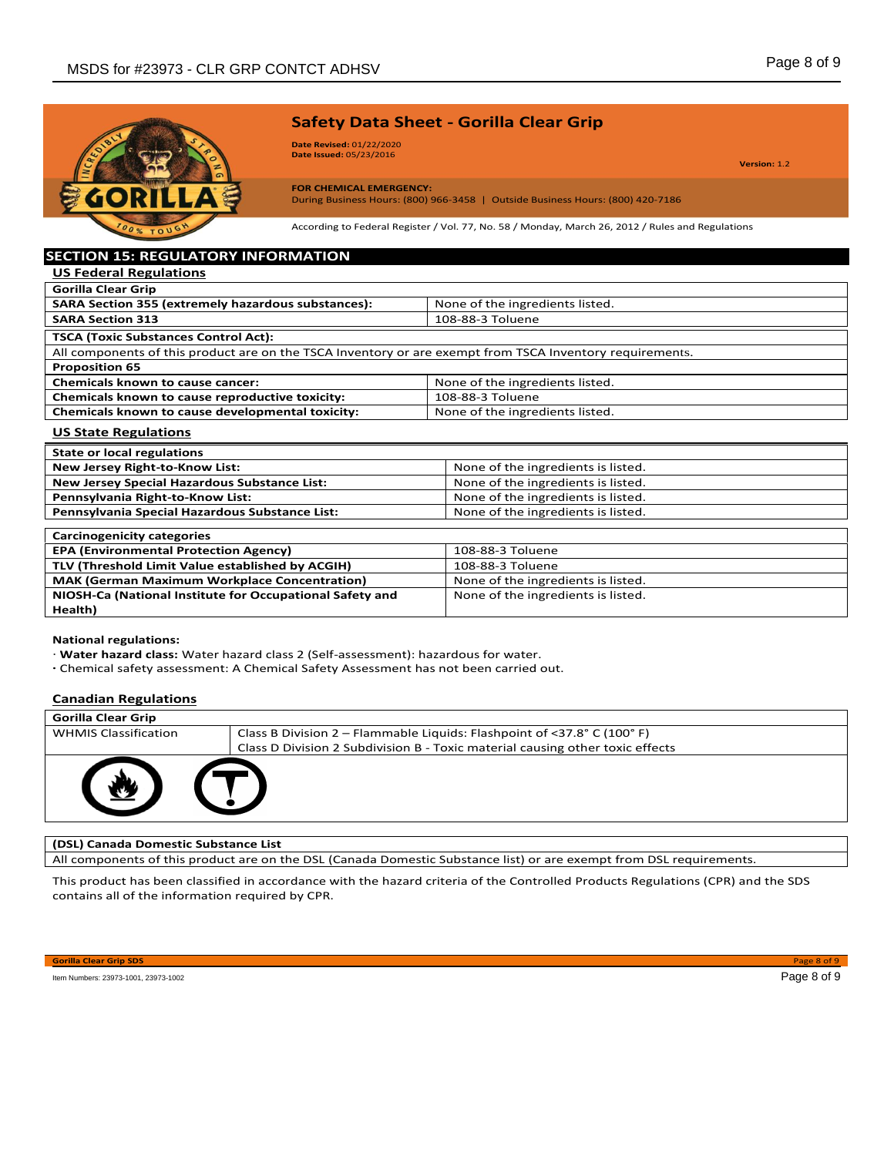

**Date Revised:** 01/22/2020 **Date Issued:** 05/23/2016

**Version:** 1.2

#### **FOR CHEMICAL EMERGENCY:** During Business Hours: (800) 966-3458 | Outside Business Hours: (800) 420-7186

According to Federal Register / Vol. 77, No. 58 / Monday, March 26, 2012 / Rules and Regulations

# **SECTION 15: REGULATORY INFORMATION US Federal Regulations**

| <b>Gorilla Clear Grip</b>                                                                                |                                 |  |
|----------------------------------------------------------------------------------------------------------|---------------------------------|--|
| <b>SARA Section 355 (extremely hazardous substances):</b>                                                | None of the ingredients listed. |  |
| <b>SARA Section 313</b>                                                                                  | 108-88-3 Toluene                |  |
| <b>TSCA (Toxic Substances Control Act):</b>                                                              |                                 |  |
| All components of this product are on the TSCA Inventory or are exempt from TSCA Inventory requirements. |                                 |  |
| <b>Proposition 65</b>                                                                                    |                                 |  |
| <b>Chemicals known to cause cancer:</b>                                                                  | None of the ingredients listed. |  |
| Chemicals known to cause reproductive toxicity:                                                          | 108-88-3 Toluene                |  |
| Chemicals known to cause developmental toxicity:                                                         | None of the ingredients listed. |  |

#### **US State Regulations**

| <b>State or local regulations</b>                        |                                    |
|----------------------------------------------------------|------------------------------------|
| <b>New Jersey Right-to-Know List:</b>                    | None of the ingredients is listed. |
| <b>New Jersey Special Hazardous Substance List:</b>      | None of the ingredients is listed. |
| Pennsylvania Right-to-Know List:                         | None of the ingredients is listed. |
| Pennsylvania Special Hazardous Substance List:           | None of the ingredients is listed. |
|                                                          |                                    |
| <b>Carcinogenicity categories</b>                        |                                    |
| <b>EPA (Environmental Protection Agency)</b>             | 108-88-3 Toluene                   |
| TLV (Threshold Limit Value established by ACGIH)         | 108-88-3 Toluene                   |
| <b>MAK (German Maximum Workplace Concentration)</b>      | None of the ingredients is listed. |
| NIOSH-Ca (National Institute for Occupational Safety and | None of the ingredients is listed. |
| Health)                                                  |                                    |

#### **National regulations:**

*·* **Water hazard class:** Water hazard class 2 (Self-assessment): hazardous for water.

*·* Chemical safety assessment: A Chemical Safety Assessment has not been carried out.

## **Canadian Regulations**

| <b>Gorilla Clear Grip</b>   |                                                                               |
|-----------------------------|-------------------------------------------------------------------------------|
| <b>WHMIS Classification</b> | Class B Division 2 - Flammable Liquids: Flashpoint of <37.8° C (100° F)       |
|                             | Class D Division 2 Subdivision B - Toxic material causing other toxic effects |
|                             |                                                                               |

# **(DSL) Canada Domestic Substance List**

All components of this product are on the DSL (Canada Domestic Substance list) or are exempt from DSL requirements.

This product has been classified in accordance with the hazard criteria of the Controlled Products Regulations (CPR) and the SDS contains all of the information required by CPR.

**Gorilla Clear Grip SDS** Page 8 of 9

Item Numbers: 23973-1001, 23973-1002 Page 8 of 9